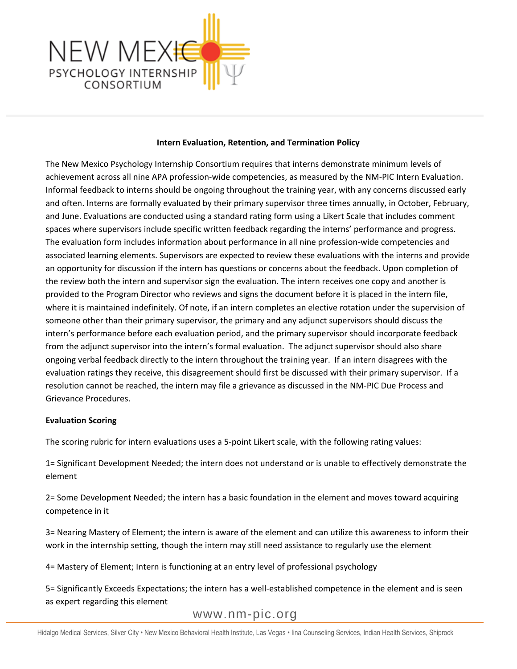

### **Intern Evaluation, Retention, and Termination Policy**

The New Mexico Psychology Internship Consortium requires that interns demonstrate minimum levels of achievement across all nine APA profession-wide competencies, as measured by the NM-PIC Intern Evaluation. Informal feedback to interns should be ongoing throughout the training year, with any concerns discussed early and often. Interns are formally evaluated by their primary supervisor three times annually, in October, February, and June. Evaluations are conducted using a standard rating form using a Likert Scale that includes comment spaces where supervisors include specific written feedback regarding the interns' performance and progress. The evaluation form includes information about performance in all nine profession-wide competencies and associated learning elements. Supervisors are expected to review these evaluations with the interns and provide an opportunity for discussion if the intern has questions or concerns about the feedback. Upon completion of the review both the intern and supervisor sign the evaluation. The intern receives one copy and another is provided to the Program Director who reviews and signs the document before it is placed in the intern file, where it is maintained indefinitely. Of note, if an intern completes an elective rotation under the supervision of someone other than their primary supervisor, the primary and any adjunct supervisors should discuss the intern's performance before each evaluation period, and the primary supervisor should incorporate feedback from the adjunct supervisor into the intern's formal evaluation. The adjunct supervisor should also share ongoing verbal feedback directly to the intern throughout the training year. If an intern disagrees with the evaluation ratings they receive, this disagreement should first be discussed with their primary supervisor. If a resolution cannot be reached, the intern may file a grievance as discussed in the NM-PIC Due Process and Grievance Procedures.

### **Evaluation Scoring**

The scoring rubric for intern evaluations uses a 5-point Likert scale, with the following rating values:

1= Significant Development Needed; the intern does not understand or is unable to effectively demonstrate the element

2= Some Development Needed; the intern has a basic foundation in the element and moves toward acquiring competence in it

3= Nearing Mastery of Element; the intern is aware of the element and can utilize this awareness to inform their work in the internship setting, though the intern may still need assistance to regularly use the element

4= Mastery of Element; Intern is functioning at an entry level of professional psychology

5= Significantly Exceeds Expectations; the intern has a well-established competence in the element and is seen as expert regarding this element

[www.nm-pic.org](http://www.nm-pic.org/)